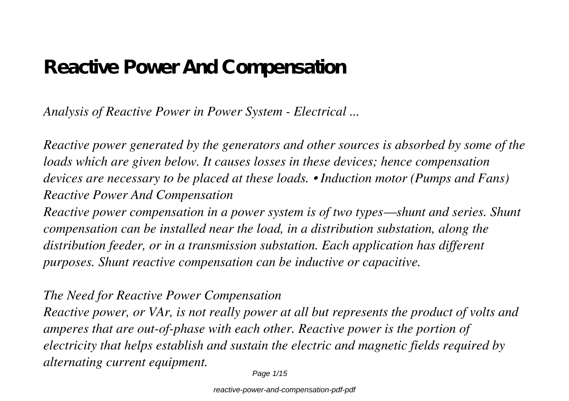# **Reactive Power And Compensation**

*Analysis of Reactive Power in Power System - Electrical ...*

*Reactive power generated by the generators and other sources is absorbed by some of the loads which are given below. It causes losses in these devices; hence compensation devices are necessary to be placed at these loads. • Induction motor (Pumps and Fans) Reactive Power And Compensation*

*Reactive power compensation in a power system is of two types—shunt and series. Shunt compensation can be installed near the load, in a distribution substation, along the distribution feeder, or in a transmission substation. Each application has different purposes. Shunt reactive compensation can be inductive or capacitive.*

#### *The Need for Reactive Power Compensation*

*Reactive power, or VAr, is not really power at all but represents the product of volts and amperes that are out-of-phase with each other. Reactive power is the portion of electricity that helps establish and sustain the electric and magnetic fields required by alternating current equipment.*

Page 1/15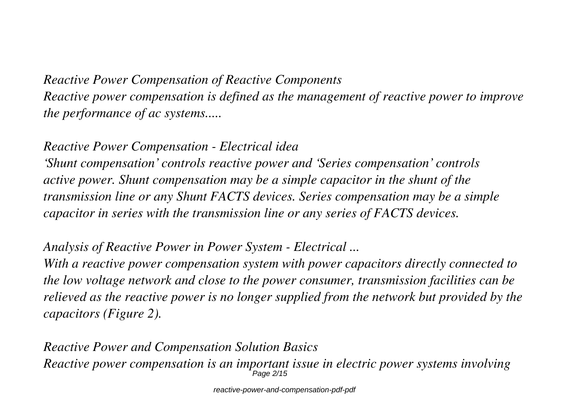*Reactive Power Compensation of Reactive Components Reactive power compensation is defined as the management of reactive power to improve the performance of ac systems.....*

*Reactive Power Compensation - Electrical idea*

*'Shunt compensation' controls reactive power and 'Series compensation' controls active power. Shunt compensation may be a simple capacitor in the shunt of the transmission line or any Shunt FACTS devices. Series compensation may be a simple capacitor in series with the transmission line or any series of FACTS devices.*

*Analysis of Reactive Power in Power System - Electrical ...*

*With a reactive power compensation system with power capacitors directly connected to the low voltage network and close to the power consumer, transmission facilities can be relieved as the reactive power is no longer supplied from the network but provided by the capacitors (Figure 2).*

*Reactive Power and Compensation Solution Basics Reactive power compensation is an important issue in electric power systems involving* Page 2/15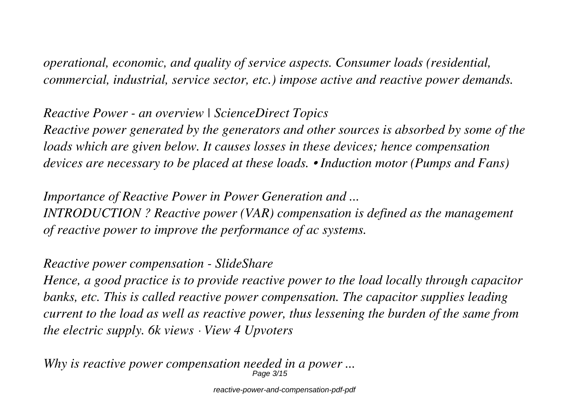*operational, economic, and quality of service aspects. Consumer loads (residential, commercial, industrial, service sector, etc.) impose active and reactive power demands.*

# *Reactive Power - an overview | ScienceDirect Topics Reactive power generated by the generators and other sources is absorbed by some of the*

*loads which are given below. It causes losses in these devices; hence compensation devices are necessary to be placed at these loads. • Induction motor (Pumps and Fans)*

*Importance of Reactive Power in Power Generation and ... INTRODUCTION ? Reactive power (VAR) compensation is defined as the management of reactive power to improve the performance of ac systems.*

### *Reactive power compensation - SlideShare*

*Hence, a good practice is to provide reactive power to the load locally through capacitor banks, etc. This is called reactive power compensation. The capacitor supplies leading current to the load as well as reactive power, thus lessening the burden of the same from the electric supply. 6k views · View 4 Upvoters*

*Why is reactive power compensation needed in a power ...* Page 3/15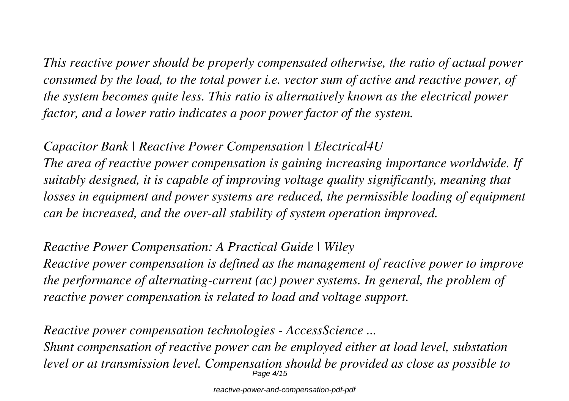*This reactive power should be properly compensated otherwise, the ratio of actual power consumed by the load, to the total power i.e. vector sum of active and reactive power, of the system becomes quite less. This ratio is alternatively known as the electrical power factor, and a lower ratio indicates a poor power factor of the system.*

*Capacitor Bank | Reactive Power Compensation | Electrical4U The area of reactive power compensation is gaining increasing importance worldwide. If suitably designed, it is capable of improving voltage quality significantly, meaning that losses in equipment and power systems are reduced, the permissible loading of equipment can be increased, and the over-all stability of system operation improved.*

*Reactive Power Compensation: A Practical Guide | Wiley*

*Reactive power compensation is defined as the management of reactive power to improve the performance of alternating-current (ac) power systems. In general, the problem of reactive power compensation is related to load and voltage support.*

*Reactive power compensation technologies - AccessScience ... Shunt compensation of reactive power can be employed either at load level, substation level or at transmission level. Compensation should be provided as close as possible to* Page 4/15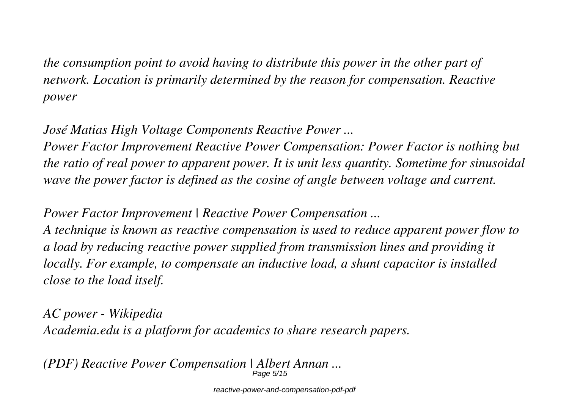*the consumption point to avoid having to distribute this power in the other part of network. Location is primarily determined by the reason for compensation. Reactive power*

*José Matias High Voltage Components Reactive Power ...*

*Power Factor Improvement Reactive Power Compensation: Power Factor is nothing but the ratio of real power to apparent power. It is unit less quantity. Sometime for sinusoidal wave the power factor is defined as the cosine of angle between voltage and current.*

*Power Factor Improvement | Reactive Power Compensation ... A technique is known as reactive compensation is used to reduce apparent power flow to a load by reducing reactive power supplied from transmission lines and providing it locally. For example, to compensate an inductive load, a shunt capacitor is installed close to the load itself.*

*AC power - Wikipedia Academia.edu is a platform for academics to share research papers.*

*(PDF) Reactive Power Compensation | Albert Annan ...* Page 5/15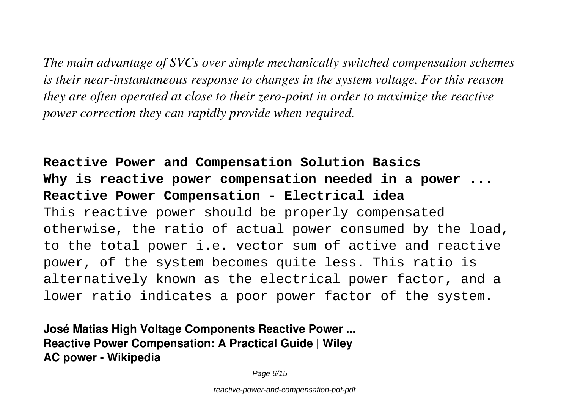*The main advantage of SVCs over simple mechanically switched compensation schemes is their near-instantaneous response to changes in the system voltage. For this reason they are often operated at close to their zero-point in order to maximize the reactive power correction they can rapidly provide when required.*

**Reactive Power and Compensation Solution Basics Why is reactive power compensation needed in a power ... Reactive Power Compensation - Electrical idea** This reactive power should be properly compensated otherwise, the ratio of actual power consumed by the load, to the total power i.e. vector sum of active and reactive power, of the system becomes quite less. This ratio is alternatively known as the electrical power factor, and a lower ratio indicates a poor power factor of the system.

**José Matias High Voltage Components Reactive Power ... Reactive Power Compensation: A Practical Guide | Wiley AC power - Wikipedia**

Page 6/15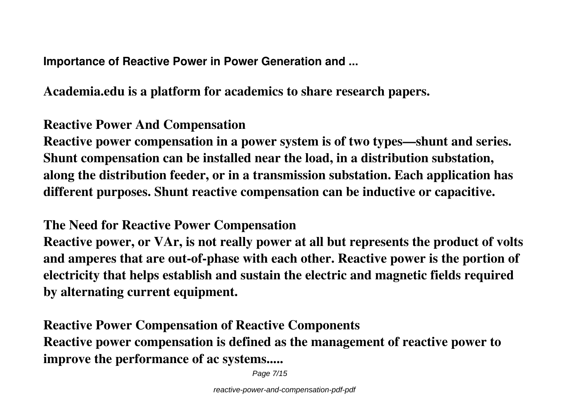**Importance of Reactive Power in Power Generation and ...**

**Academia.edu is a platform for academics to share research papers.**

## **Reactive Power And Compensation**

**Reactive power compensation in a power system is of two types—shunt and series. Shunt compensation can be installed near the load, in a distribution substation, along the distribution feeder, or in a transmission substation. Each application has different purposes. Shunt reactive compensation can be inductive or capacitive.**

### **The Need for Reactive Power Compensation**

**Reactive power, or VAr, is not really power at all but represents the product of volts and amperes that are out-of-phase with each other. Reactive power is the portion of electricity that helps establish and sustain the electric and magnetic fields required by alternating current equipment.**

**Reactive Power Compensation of Reactive Components Reactive power compensation is defined as the management of reactive power to improve the performance of ac systems.....**

Page 7/15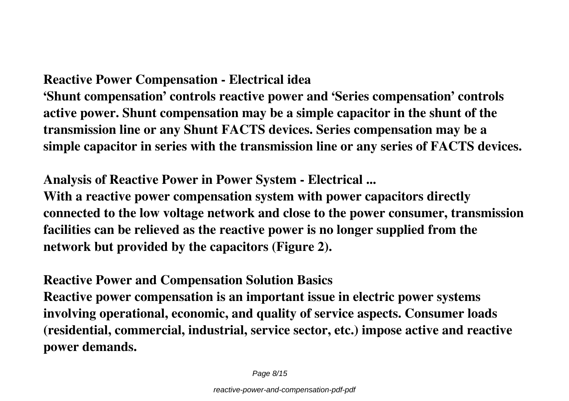### **Reactive Power Compensation - Electrical idea**

**'Shunt compensation' controls reactive power and 'Series compensation' controls active power. Shunt compensation may be a simple capacitor in the shunt of the transmission line or any Shunt FACTS devices. Series compensation may be a simple capacitor in series with the transmission line or any series of FACTS devices.**

**Analysis of Reactive Power in Power System - Electrical ...**

**With a reactive power compensation system with power capacitors directly connected to the low voltage network and close to the power consumer, transmission facilities can be relieved as the reactive power is no longer supplied from the network but provided by the capacitors (Figure 2).**

### **Reactive Power and Compensation Solution Basics**

**Reactive power compensation is an important issue in electric power systems involving operational, economic, and quality of service aspects. Consumer loads (residential, commercial, industrial, service sector, etc.) impose active and reactive power demands.**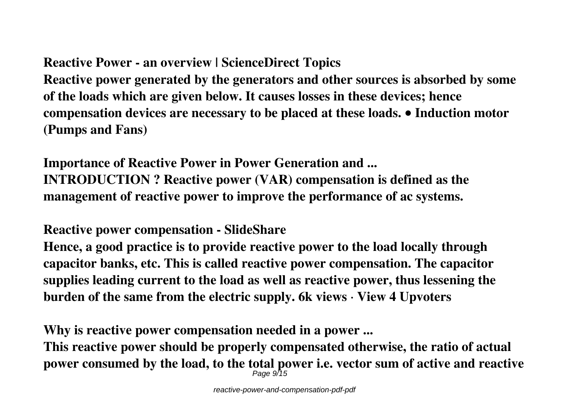## **Reactive Power - an overview | ScienceDirect Topics**

**Reactive power generated by the generators and other sources is absorbed by some of the loads which are given below. It causes losses in these devices; hence compensation devices are necessary to be placed at these loads. • Induction motor (Pumps and Fans)**

**Importance of Reactive Power in Power Generation and ... INTRODUCTION ? Reactive power (VAR) compensation is defined as the management of reactive power to improve the performance of ac systems.**

**Reactive power compensation - SlideShare**

**Hence, a good practice is to provide reactive power to the load locally through capacitor banks, etc. This is called reactive power compensation. The capacitor supplies leading current to the load as well as reactive power, thus lessening the burden of the same from the electric supply. 6k views · View 4 Upvoters**

**Why is reactive power compensation needed in a power ...**

**This reactive power should be properly compensated otherwise, the ratio of actual power consumed by the load, to the total power i.e. vector sum of active and reactive** Page 9715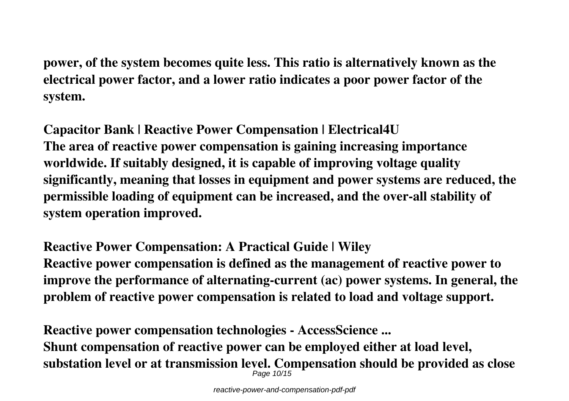**power, of the system becomes quite less. This ratio is alternatively known as the electrical power factor, and a lower ratio indicates a poor power factor of the system.**

**Capacitor Bank | Reactive Power Compensation | Electrical4U The area of reactive power compensation is gaining increasing importance worldwide. If suitably designed, it is capable of improving voltage quality significantly, meaning that losses in equipment and power systems are reduced, the permissible loading of equipment can be increased, and the over-all stability of system operation improved.**

**Reactive Power Compensation: A Practical Guide | Wiley Reactive power compensation is defined as the management of reactive power to improve the performance of alternating-current (ac) power systems. In general, the problem of reactive power compensation is related to load and voltage support.**

**Reactive power compensation technologies - AccessScience ... Shunt compensation of reactive power can be employed either at load level, substation level or at transmission level. Compensation should be provided as close** Page 10/15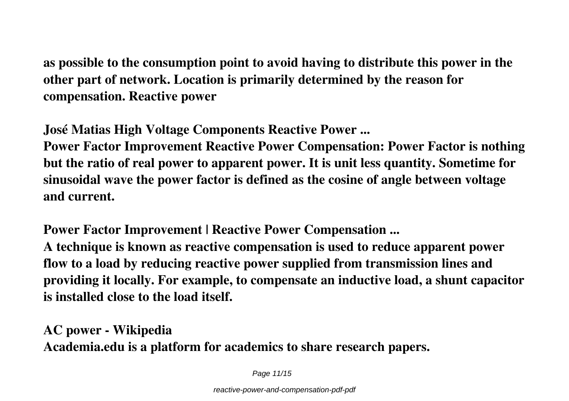**as possible to the consumption point to avoid having to distribute this power in the other part of network. Location is primarily determined by the reason for compensation. Reactive power**

**José Matias High Voltage Components Reactive Power ...**

**Power Factor Improvement Reactive Power Compensation: Power Factor is nothing but the ratio of real power to apparent power. It is unit less quantity. Sometime for sinusoidal wave the power factor is defined as the cosine of angle between voltage and current.**

**Power Factor Improvement | Reactive Power Compensation ... A technique is known as reactive compensation is used to reduce apparent power flow to a load by reducing reactive power supplied from transmission lines and providing it locally. For example, to compensate an inductive load, a shunt capacitor is installed close to the load itself.**

**AC power - Wikipedia Academia.edu is a platform for academics to share research papers.**

Page 11/15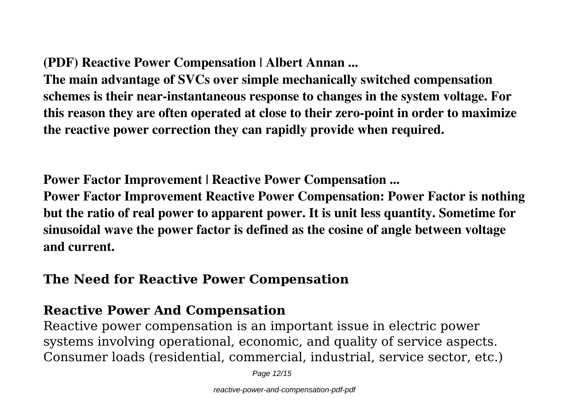**(PDF) Reactive Power Compensation | Albert Annan ...**

**The main advantage of SVCs over simple mechanically switched compensation schemes is their near-instantaneous response to changes in the system voltage. For this reason they are often operated at close to their zero-point in order to maximize the reactive power correction they can rapidly provide when required.**

**Power Factor Improvement | Reactive Power Compensation ...**

**Power Factor Improvement Reactive Power Compensation: Power Factor is nothing but the ratio of real power to apparent power. It is unit less quantity. Sometime for sinusoidal wave the power factor is defined as the cosine of angle between voltage and current.**

### **The Need for Reactive Power Compensation**

### **Reactive Power And Compensation**

Reactive power compensation is an important issue in electric power systems involving operational, economic, and quality of service aspects. Consumer loads (residential, commercial, industrial, service sector, etc.)

Page 12/15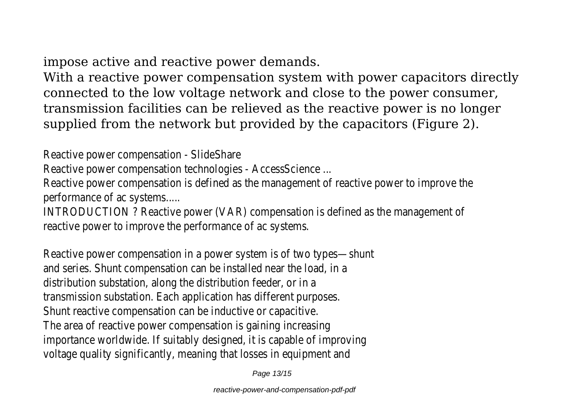impose active and reactive power demands.

With a reactive power compensation system with power capacitors directly connected to the low voltage network and close to the power consumer, transmission facilities can be relieved as the reactive power is no longer supplied from the network but provided by the capacitors (Figure 2).

Reactive power compensation - SlideShare

Reactive power compensation technologies - AccessScience ...

Reactive power compensation is defined as the management of reactive power to improve the performance of ac systems.....

INTRODUCTION ? Reactive power (VAR) compensation is defined as the management of reactive power to improve the performance of ac systems.

Reactive power compensation in a power system is of two types—shunt and series. Shunt compensation can be installed near the load, in a distribution substation, along the distribution feeder, or in a transmission substation. Each application has different purposes. Shunt reactive compensation can be inductive or capacitive. The area of reactive power compensation is gaining increasing importance worldwide. If suitably designed, it is capable of improving voltage quality significantly, meaning that losses in equipment and

Page 13/15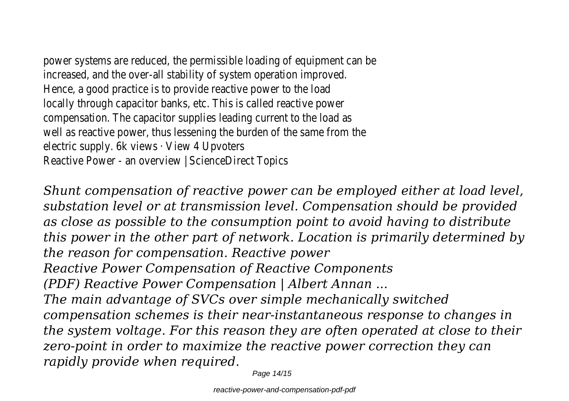power systems are reduced, the permissible loading of equipment can be increased, and the over-all stability of system operation improved. Hence, a good practice is to provide reactive power to the load locally through capacitor banks, etc. This is called reactive power compensation. The capacitor supplies leading current to the load as well as reactive power, thus lessening the burden of the same from the electric supply. 6k views · View 4 Upvoters Reactive Power - an overview | ScienceDirect Topics

*Shunt compensation of reactive power can be employed either at load level, substation level or at transmission level. Compensation should be provided as close as possible to the consumption point to avoid having to distribute this power in the other part of network. Location is primarily determined by the reason for compensation. Reactive power Reactive Power Compensation of Reactive Components (PDF) Reactive Power Compensation | Albert Annan ... The main advantage of SVCs over simple mechanically switched compensation schemes is their near-instantaneous response to changes in the system voltage. For this reason they are often operated at close to their zero-point in order to maximize the reactive power correction they can rapidly provide when required.*

Page 14/15